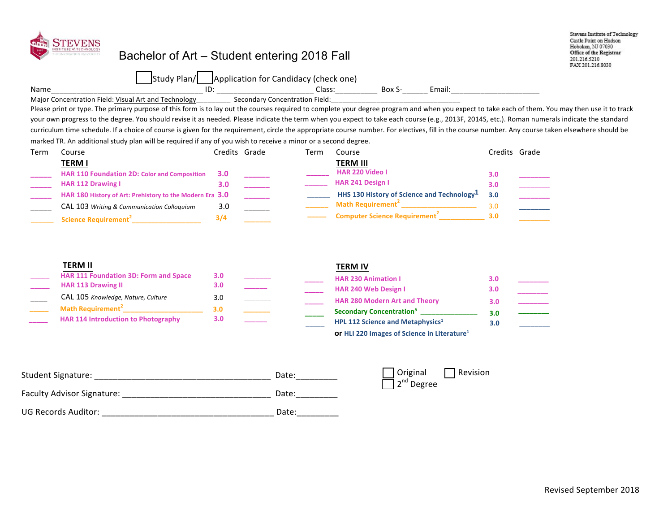

## Bachelor of Art – Student entering 2018 Fall

Stevens Institute of Technology Castle Point on Hudson Hoboken, NJ 07030 Office of the Registrar 201.216.5210 FAX 201.216.8030

|      | $-1$<br>Plan <sub>/</sub> | (Application for Candidacy (check one) |                 |        |
|------|---------------------------|----------------------------------------|-----------------|--------|
| Name | ID                        | Class<br>_______                       | Box.<br>_______ | Email: |

Major Concentration Field: Visual Art and Technology Secondary Concentration Field:

Please print or type. The primary purpose of this form is to lay out the courses required to complete your degree program and when you expect to take each of them. You may then use it to track your own progress to the degree. You should revise it as needed. Please indicate the term when you expect to take each course (e.g., 2013F, 2014S, etc.). Roman numerals indicate the standard curriculum time schedule. If a choice of course is given for the requirement, circle the appropriate course number. For electives, fill in the course number. Any course taken elsewhere should be marked TR. An additional study plan will be required if any of you wish to receive a minor or a second degree.

| Term | Course                                                   |     | Credits Grade | Term | Course                                                 |     | Credits Grade |
|------|----------------------------------------------------------|-----|---------------|------|--------------------------------------------------------|-----|---------------|
|      | <b>TERM I</b>                                            |     |               |      | <b>TERM III</b>                                        |     |               |
|      | <b>HAR 110 Foundation 2D: Color and Composition</b>      | 3.0 |               |      | <b>HAR 220 Video I</b>                                 | 3.0 |               |
|      | <b>HAR 112 Drawing I</b>                                 | 3.0 |               |      | <b>HAR 241 Design I</b>                                | 3.0 |               |
|      | HAR 180 History of Art: Prehistory to the Modern Era 3.0 |     |               |      | HHS 130 History of Science and Technology <sup>1</sup> | 3.0 |               |
|      | CAL 103 Writing & Communication Colloquium               | 3.0 |               |      | <b>Math Requirement</b>                                | 3.0 |               |
|      | Science Requirement <sup>2</sup>                         | 3/4 |               |      | <b>Computer Science Requirement</b>                    | 3.0 |               |

| <b>TERM II</b>                               |     |  | <b>TERM IV</b>                                    |     |  |
|----------------------------------------------|-----|--|---------------------------------------------------|-----|--|
| <b>HAR 111 Foundation 3D: Form and Space</b> | 3.0 |  | <b>HAR 230 Animation I</b>                        | 3.0 |  |
| <b>HAR 113 Drawing II</b>                    | 3.0 |  | <b>HAR 240 Web Design I</b>                       | 3.0 |  |
| CAL 105 Knowledge, Nature, Culture           | 3.0 |  | <b>HAR 280 Modern Art and Theory</b>              |     |  |
| Math Requirement <sup>2</sup>                | 3.0 |  | Secondary Concentration <sup>5</sup>              |     |  |
| <b>HAR 114 Introduction to Photography</b>   | 3.0 |  | HPL 112 Science and Metaphysics <sup>1</sup>      | 3.0 |  |
|                                              |     |  | <b>Or HLI 220 Images of Science in Literature</b> |     |  |

| <b>Student Signature:</b>         | Date: | Original<br>2 <sup>nd</sup> Degree | l Revision |
|-----------------------------------|-------|------------------------------------|------------|
| <b>Faculty Advisor Signature:</b> | Date: |                                    |            |
| UG Records Auditor:               | Date: |                                    |            |